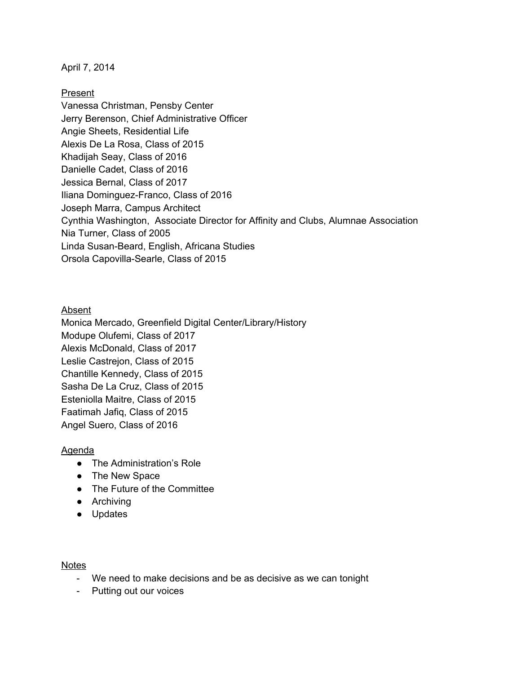April 7, 2014

Present

Vanessa Christman, Pensby Center Jerry Berenson, Chief Administrative Officer Angie Sheets, Residential Life Alexis De La Rosa, Class of 2015 Khadijah Seay, Class of 2016 Danielle Cadet, Class of 2016 Jessica Bernal, Class of 2017 Iliana Dominguez-Franco, Class of 2016 Joseph Marra, Campus Architect Cynthia Washington, Associate Director for Affinity and Clubs, Alumnae Association Nia Turner, Class of 2005 Linda Susan-Beard, English, Africana Studies Orsola Capovilla-Searle, Class of 2015

## Absent

Monica Mercado, Greenfield Digital Center/Library/History Modupe Olufemi, Class of 2017 Alexis McDonald, Class of 2017 Leslie Castrejon, Class of 2015 Chantille Kennedy, Class of 2015 Sasha De La Cruz, Class of 2015 Esteniolla Maitre, Class of 2015 Faatimah Jafiq, Class of 2015 Angel Suero, Class of 2016

## Agenda

- The Administration's Role
- The New Space
- The Future of the Committee
- Archiving
- Updates

## Notes

- We need to make decisions and be as decisive as we can tonight
- Putting out our voices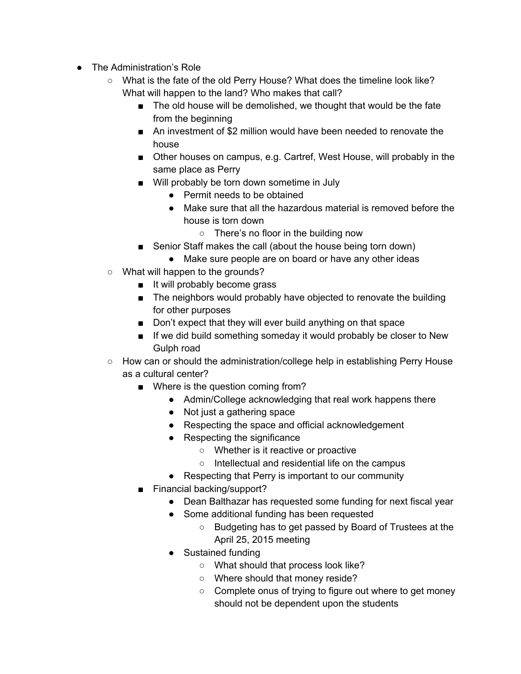- The Administration's Role
	- What is the fate of the old Perry House? What does the timeline look like? What will happen to the land? Who makes that call?
		- The old house will be demolished, we thought that would be the fate from the beginning
		- An investment of \$2 million would have been needed to renovate the house
		- Other houses on campus, e.g. Cartref, West House, will probably in the same place as Perry
		- Will probably be torn down sometime in July
			- Permit needs to be obtained
			- Make sure that all the hazardous material is removed before the house is torn down
				- There's no floor in the building now
		- Senior Staff makes the call (about the house being torn down)
			- Make sure people are on board or have any other ideas
	- What will happen to the grounds?
		- It will probably become grass
		- The neighbors would probably have objected to renovate the building for other purposes
		- Don't expect that they will ever build anything on that space
		- If we did build something someday it would probably be closer to New Gulph road
	- How can or should the administration/college help in establishing Perry House as a cultural center?
		- Where is the question coming from?
			- Admin/College acknowledging that real work happens there
			- Not just a gathering space
			- Respecting the space and official acknowledgement
			- Respecting the significance
				- Whether is it reactive or proactive
				- Intellectual and residential life on the campus
			- Respecting that Perry is important to our community
		- Financial backing/support?
			- Dean Balthazar has requested some funding for next fiscal year
			- Some additional funding has been requested
				- Budgeting has to get passed by Board of Trustees at the April 25, 2015 meeting
			- Sustained funding
				- What should that process look like?
				- Where should that money reside?
				- Complete onus of trying to figure out where to get money should not be dependent upon the students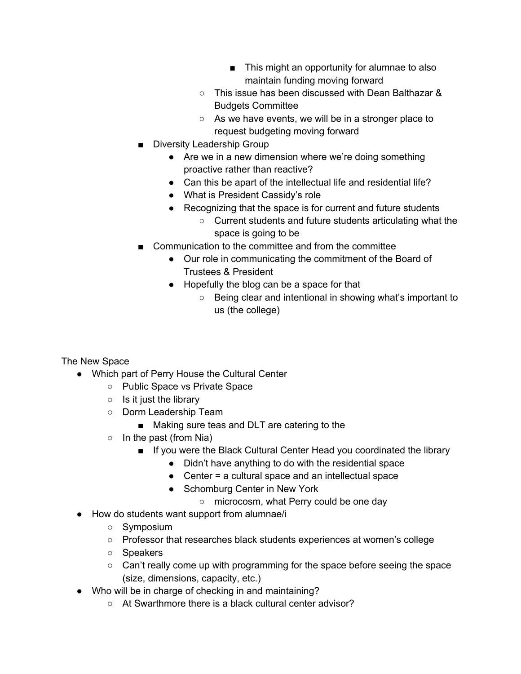- This might an opportunity for alumnae to also maintain funding moving forward
- This issue has been discussed with Dean Balthazar & Budgets Committee
- As we have events, we will be in a stronger place to request budgeting moving forward
- Diversity Leadership Group
	- Are we in a new dimension where we're doing something proactive rather than reactive?
	- Can this be apart of the intellectual life and residential life?
	- What is President Cassidy's role
	- Recognizing that the space is for current and future students
		- Current students and future students articulating what the space is going to be
- Communication to the committee and from the committee
	- Our role in communicating the commitment of the Board of Trustees & President
	- Hopefully the blog can be a space for that
		- Being clear and intentional in showing what's important to us (the college)

## The New Space

- Which part of Perry House the Cultural Center
	- Public Space vs Private Space
	- $\circ$  Is it just the library
	- Dorm Leadership Team
		- Making sure teas and DLT are catering to the
	- $\circ$  In the past (from Nia)
		- If you were the Black Cultural Center Head you coordinated the library
			- Didn't have anything to do with the residential space
			- Center = a cultural space and an intellectual space
			- Schomburg Center in New York
				- microcosm, what Perry could be one day
- How do students want support from alumnae/i
	- Symposium
	- Professor that researches black students experiences at women's college
	- Speakers
	- Can't really come up with programming for the space before seeing the space (size, dimensions, capacity, etc.)
- Who will be in charge of checking in and maintaining?
	- At Swarthmore there is a black cultural center advisor?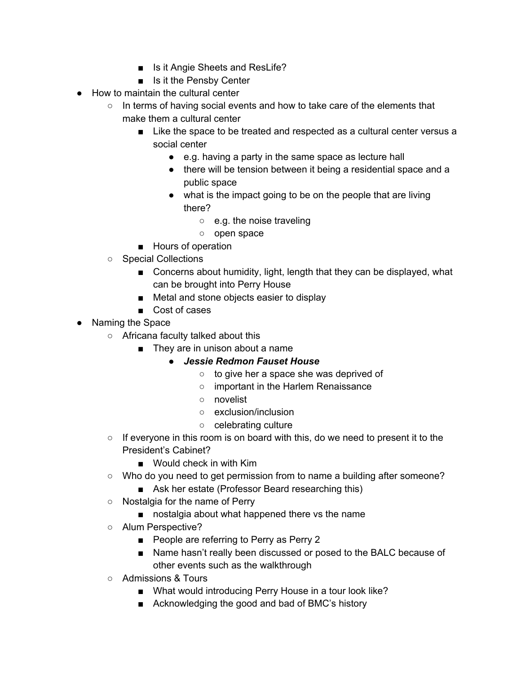- Is it Angie Sheets and ResLife?
- Is it the Pensby Center
- How to maintain the cultural center
	- In terms of having social events and how to take care of the elements that make them a cultural center
		- Like the space to be treated and respected as a cultural center versus a social center
			- e.g. having a party in the same space as lecture hall
			- there will be tension between it being a residential space and a public space
			- what is the impact going to be on the people that are living there?
				- e.g. the noise traveling
				- open space
		- Hours of operation
	- Special Collections
		- Concerns about humidity, light, length that they can be displayed, what can be brought into Perry House
		- Metal and stone objects easier to display
		- Cost of cases
- Naming the Space
	- Africana faculty talked about this
		- They are in unison about a name
			- *● Jessie Redmon Fauset House*
				- to give her a space she was deprived of
				- important in the Harlem Renaissance
				- novelist
				- exclusion/inclusion
				- celebrating culture
	- $\circ$  If everyone in this room is on board with this, do we need to present it to the President's Cabinet?
		- Would check in with Kim
	- Who do you need to get permission from to name a building after someone?
		- Ask her estate (Professor Beard researching this)
	- Nostalgia for the name of Perry
		- nostalgia about what happened there vs the name
	- Alum Perspective?
		- People are referring to Perry as Perry 2
		- Name hasn't really been discussed or posed to the BALC because of other events such as the walkthrough
	- Admissions & Tours
		- What would introducing Perry House in a tour look like?
		- Acknowledging the good and bad of BMC's history